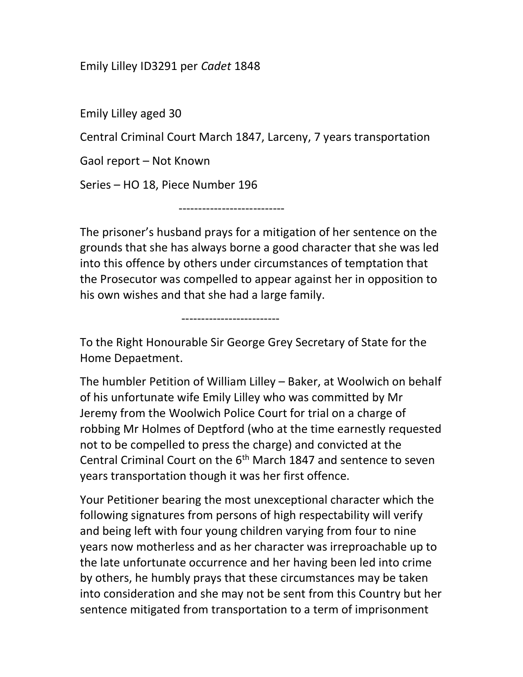## Emily Lilley ID3291 per Cadet 1848

Emily Lilley aged 30

Central Criminal Court March 1847, Larceny, 7 years transportation

Gaol report – Not Known

Series – HO 18, Piece Number 196

-------------------------

---------------------------

The prisoner's husband prays for a mitigation of her sentence on the grounds that she has always borne a good character that she was led into this offence by others under circumstances of temptation that the Prosecutor was compelled to appear against her in opposition to his own wishes and that she had a large family.

To the Right Honourable Sir George Grey Secretary of State for the Home Depaetment.

The humbler Petition of William Lilley – Baker, at Woolwich on behalf of his unfortunate wife Emily Lilley who was committed by Mr Jeremy from the Woolwich Police Court for trial on a charge of robbing Mr Holmes of Deptford (who at the time earnestly requested not to be compelled to press the charge) and convicted at the Central Criminal Court on the 6<sup>th</sup> March 1847 and sentence to seven years transportation though it was her first offence.

Your Petitioner bearing the most unexceptional character which the following signatures from persons of high respectability will verify and being left with four young children varying from four to nine years now motherless and as her character was irreproachable up to the late unfortunate occurrence and her having been led into crime by others, he humbly prays that these circumstances may be taken into consideration and she may not be sent from this Country but her sentence mitigated from transportation to a term of imprisonment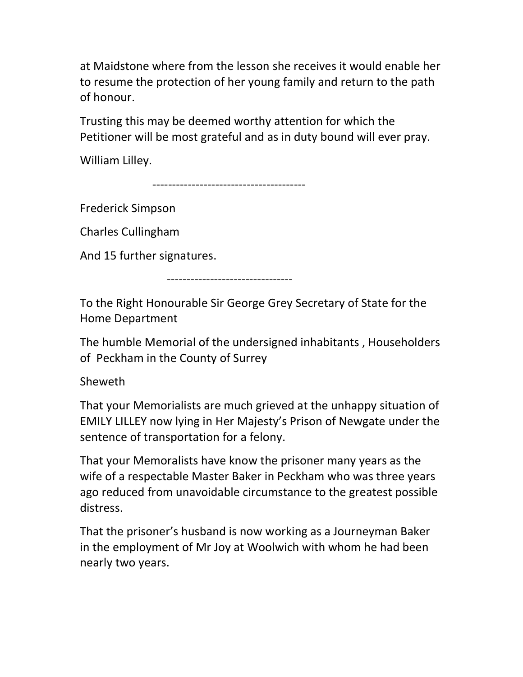at Maidstone where from the lesson she receives it would enable her to resume the protection of her young family and return to the path of honour.

Trusting this may be deemed worthy attention for which the Petitioner will be most grateful and as in duty bound will ever pray.

William Lilley.

---------------------------------------

Frederick Simpson

Charles Cullingham

And 15 further signatures.

--------------------------------

To the Right Honourable Sir George Grey Secretary of State for the Home Department

The humble Memorial of the undersigned inhabitants , Householders of Peckham in the County of Surrey

Sheweth

That your Memorialists are much grieved at the unhappy situation of EMILY LILLEY now lying in Her Majesty's Prison of Newgate under the sentence of transportation for a felony.

That your Memoralists have know the prisoner many years as the wife of a respectable Master Baker in Peckham who was three years ago reduced from unavoidable circumstance to the greatest possible distress.

That the prisoner's husband is now working as a Journeyman Baker in the employment of Mr Joy at Woolwich with whom he had been nearly two years.